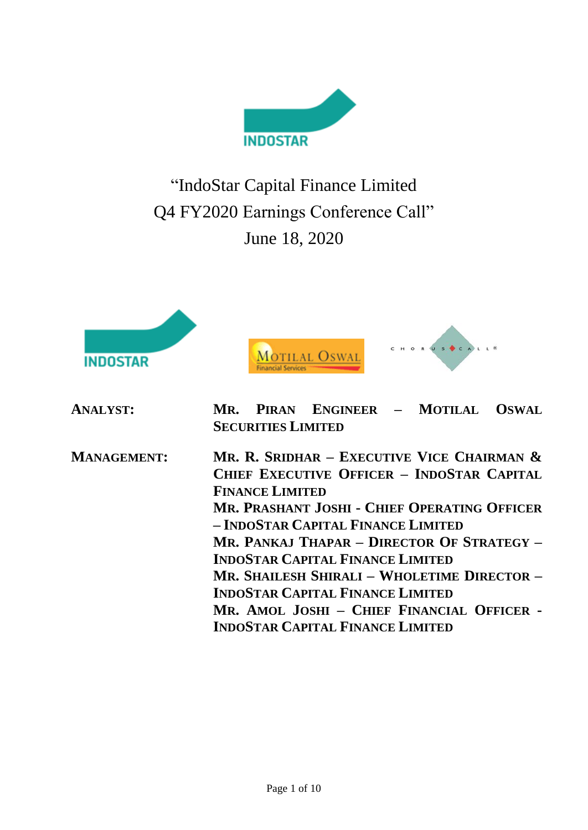

"IndoStar Capital Finance Limited Q4 FY2020 Earnings Conference Call" June 18, 2020







| <b>ANALYST:</b> |                           |  | MR. PIRAN ENGINEER - MOTILAL OSWAL |  |  |  |
|-----------------|---------------------------|--|------------------------------------|--|--|--|
|                 | <b>SECURITIES LIMITED</b> |  |                                    |  |  |  |

**MANAGEMENT: MR. R. SRIDHAR – EXECUTIVE VICE CHAIRMAN & CHIEF EXECUTIVE OFFICER – INDOSTAR CAPITAL FINANCE LIMITED MR. PRASHANT JOSHI - CHIEF OPERATING OFFICER – INDOSTAR CAPITAL FINANCE LIMITED MR. PANKAJ THAPAR – DIRECTOR OF STRATEGY – INDOSTAR CAPITAL FINANCE LIMITED MR. SHAILESH SHIRALI – WHOLETIME DIRECTOR – INDOSTAR CAPITAL FINANCE LIMITED MR. AMOL JOSHI – CHIEF FINANCIAL OFFICER - INDOSTAR CAPITAL FINANCE LIMITED**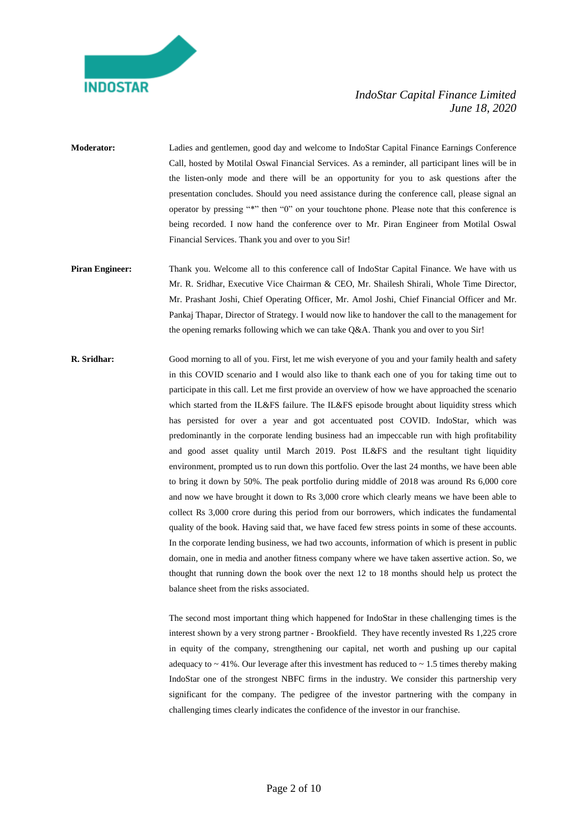

- **Moderator:** Ladies and gentlemen, good day and welcome to IndoStar Capital Finance Earnings Conference Call, hosted by Motilal Oswal Financial Services. As a reminder, all participant lines will be in the listen-only mode and there will be an opportunity for you to ask questions after the presentation concludes. Should you need assistance during the conference call, please signal an operator by pressing "\*" then "0" on your touchtone phone. Please note that this conference is being recorded. I now hand the conference over to Mr. Piran Engineer from Motilal Oswal Financial Services. Thank you and over to you Sir!
- **Piran Engineer:** Thank you. Welcome all to this conference call of IndoStar Capital Finance. We have with us Mr. R. Sridhar, Executive Vice Chairman & CEO, Mr. Shailesh Shirali, Whole Time Director, Mr. Prashant Joshi, Chief Operating Officer, Mr. Amol Joshi, Chief Financial Officer and Mr. Pankaj Thapar, Director of Strategy. I would now like to handover the call to the management for the opening remarks following which we can take Q&A. Thank you and over to you Sir!
- **R. Sridhar:** Good morning to all of you. First, let me wish everyone of you and your family health and safety in this COVID scenario and I would also like to thank each one of you for taking time out to participate in this call. Let me first provide an overview of how we have approached the scenario which started from the IL&FS failure. The IL&FS episode brought about liquidity stress which has persisted for over a year and got accentuated post COVID. IndoStar, which was predominantly in the corporate lending business had an impeccable run with high profitability and good asset quality until March 2019. Post IL&FS and the resultant tight liquidity environment, prompted us to run down this portfolio. Over the last 24 months, we have been able to bring it down by 50%. The peak portfolio during middle of 2018 was around Rs 6,000 core and now we have brought it down to Rs 3,000 crore which clearly means we have been able to collect Rs 3,000 crore during this period from our borrowers, which indicates the fundamental quality of the book. Having said that, we have faced few stress points in some of these accounts. In the corporate lending business, we had two accounts, information of which is present in public domain, one in media and another fitness company where we have taken assertive action. So, we thought that running down the book over the next 12 to 18 months should help us protect the balance sheet from the risks associated.

The second most important thing which happened for IndoStar in these challenging times is the interest shown by a very strong partner - Brookfield. They have recently invested Rs 1,225 crore in equity of the company, strengthening our capital, net worth and pushing up our capital adequacy to  $\sim$  41%. Our leverage after this investment has reduced to  $\sim$  1.5 times thereby making IndoStar one of the strongest NBFC firms in the industry. We consider this partnership very significant for the company. The pedigree of the investor partnering with the company in challenging times clearly indicates the confidence of the investor in our franchise.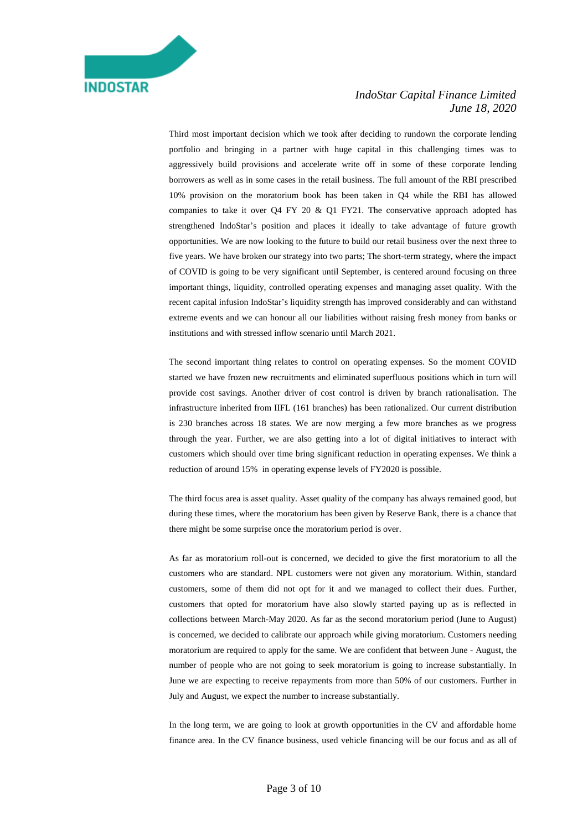

Third most important decision which we took after deciding to rundown the corporate lending portfolio and bringing in a partner with huge capital in this challenging times was to aggressively build provisions and accelerate write off in some of these corporate lending borrowers as well as in some cases in the retail business. The full amount of the RBI prescribed 10% provision on the moratorium book has been taken in Q4 while the RBI has allowed companies to take it over Q4 FY 20  $\&$  Q1 FY21. The conservative approach adopted has strengthened IndoStar's position and places it ideally to take advantage of future growth opportunities. We are now looking to the future to build our retail business over the next three to five years. We have broken our strategy into two parts; The short-term strategy, where the impact of COVID is going to be very significant until September, is centered around focusing on three important things, liquidity, controlled operating expenses and managing asset quality. With the recent capital infusion IndoStar's liquidity strength has improved considerably and can withstand extreme events and we can honour all our liabilities without raising fresh money from banks or institutions and with stressed inflow scenario until March 2021.

The second important thing relates to control on operating expenses. So the moment COVID started we have frozen new recruitments and eliminated superfluous positions which in turn will provide cost savings. Another driver of cost control is driven by branch rationalisation. The infrastructure inherited from IIFL (161 branches) has been rationalized. Our current distribution is 230 branches across 18 states. We are now merging a few more branches as we progress through the year. Further, we are also getting into a lot of digital initiatives to interact with customers which should over time bring significant reduction in operating expenses. We think a reduction of around 15% in operating expense levels of FY2020 is possible.

The third focus area is asset quality. Asset quality of the company has always remained good, but during these times, where the moratorium has been given by Reserve Bank, there is a chance that there might be some surprise once the moratorium period is over.

As far as moratorium roll-out is concerned, we decided to give the first moratorium to all the customers who are standard. NPL customers were not given any moratorium. Within, standard customers, some of them did not opt for it and we managed to collect their dues. Further, customers that opted for moratorium have also slowly started paying up as is reflected in collections between March-May 2020. As far as the second moratorium period (June to August) is concerned, we decided to calibrate our approach while giving moratorium. Customers needing moratorium are required to apply for the same. We are confident that between June - August, the number of people who are not going to seek moratorium is going to increase substantially. In June we are expecting to receive repayments from more than 50% of our customers. Further in July and August, we expect the number to increase substantially.

In the long term, we are going to look at growth opportunities in the CV and affordable home finance area. In the CV finance business, used vehicle financing will be our focus and as all of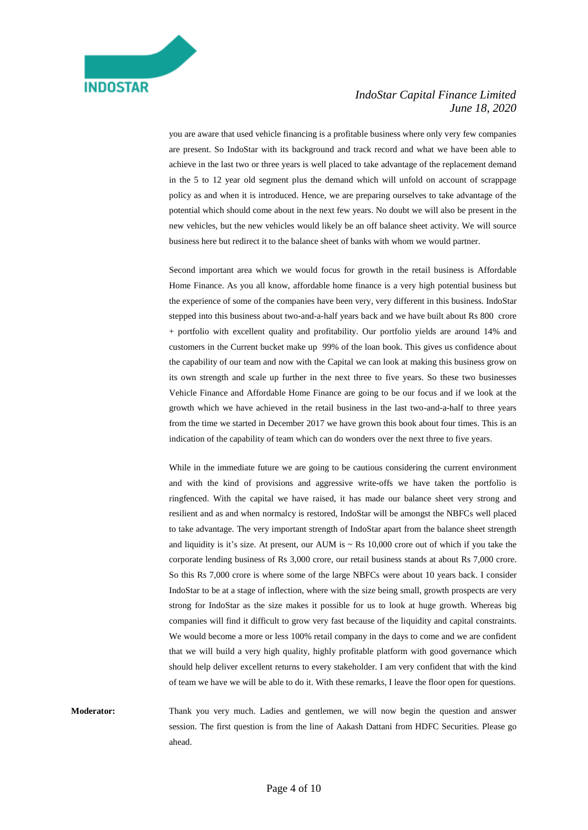you are aware that used vehicle financing is a profitable business where only very few companies are present. So IndoStar with its background and track record and what we have been able to achieve in the last two or three years is well placed to take advantage of the replacement demand in the 5 to 12 year old segment plus the demand which will unfold on account of scrappage policy as and when it is introduced. Hence, we are preparing ourselves to take advantage of the potential which should come about in the next few years. No doubt we will also be present in the new vehicles, but the new vehicles would likely be an off balance sheet activity. We will source business here but redirect it to the balance sheet of banks with whom we would partner.

Second important area which we would focus for growth in the retail business is Affordable Home Finance. As you all know, affordable home finance is a very high potential business but the experience of some of the companies have been very, very different in this business. IndoStar stepped into this business about two-and-a-half years back and we have built about Rs 800 crore + portfolio with excellent quality and profitability. Our portfolio yields are around 14% and customers in the Current bucket make up 99% of the loan book. This gives us confidence about the capability of our team and now with the Capital we can look at making this business grow on its own strength and scale up further in the next three to five years. So these two businesses Vehicle Finance and Affordable Home Finance are going to be our focus and if we look at the growth which we have achieved in the retail business in the last two-and-a-half to three years from the time we started in December 2017 we have grown this book about four times. This is an indication of the capability of team which can do wonders over the next three to five years.

While in the immediate future we are going to be cautious considering the current environment and with the kind of provisions and aggressive write-offs we have taken the portfolio is ringfenced. With the capital we have raised, it has made our balance sheet very strong and resilient and as and when normalcy is restored, IndoStar will be amongst the NBFCs well placed to take advantage. The very important strength of IndoStar apart from the balance sheet strength and liquidity is it's size. At present, our AUM is  $\sim$  Rs 10,000 crore out of which if you take the corporate lending business of Rs 3,000 crore, our retail business stands at about Rs 7,000 crore. So this Rs 7,000 crore is where some of the large NBFCs were about 10 years back. I consider IndoStar to be at a stage of inflection, where with the size being small, growth prospects are very strong for IndoStar as the size makes it possible for us to look at huge growth. Whereas big companies will find it difficult to grow very fast because of the liquidity and capital constraints. We would become a more or less 100% retail company in the days to come and we are confident that we will build a very high quality, highly profitable platform with good governance which should help deliver excellent returns to every stakeholder. I am very confident that with the kind of team we have we will be able to do it. With these remarks, I leave the floor open for questions.

**Moderator:** Thank you very much. Ladies and gentlemen, we will now begin the question and answer session. The first question is from the line of Aakash Dattani from HDFC Securities. Please go ahead.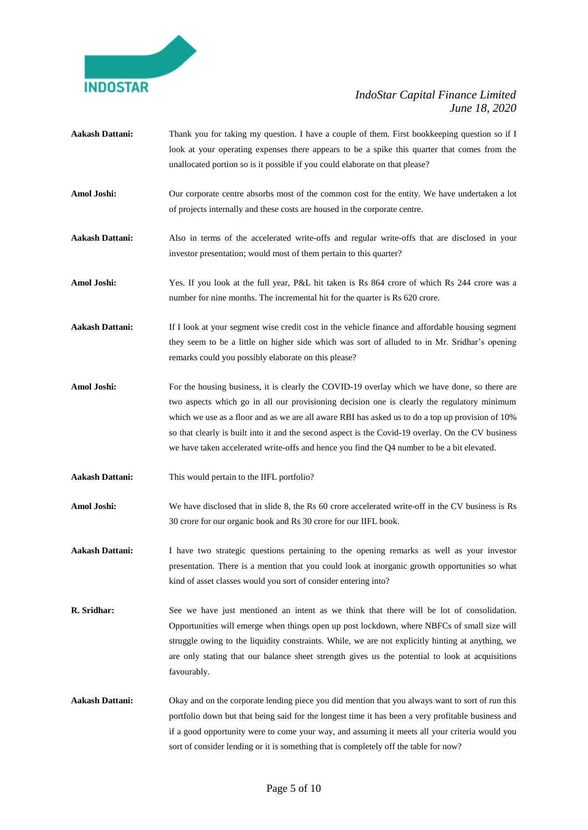

- **Aakash Dattani:** Thank you for taking my question. I have a couple of them. First bookkeeping question so if I look at your operating expenses there appears to be a spike this quarter that comes from the unallocated portion so is it possible if you could elaborate on that please?
- **Amol Joshi:** Our corporate centre absorbs most of the common cost for the entity. We have undertaken a lot of projects internally and these costs are housed in the corporate centre.
- **Aakash Dattani:** Also in terms of the accelerated write-offs and regular write-offs that are disclosed in your investor presentation; would most of them pertain to this quarter?
- **Amol Joshi:** Yes. If you look at the full year, P&L hit taken is Rs 864 crore of which Rs 244 crore was a number for nine months. The incremental hit for the quarter is Rs 620 crore.
- **Aakash Dattani:** If I look at your segment wise credit cost in the vehicle finance and affordable housing segment they seem to be a little on higher side which was sort of alluded to in Mr. Sridhar's opening remarks could you possibly elaborate on this please?
- Amol Joshi: For the housing business, it is clearly the COVID-19 overlay which we have done, so there are two aspects which go in all our provisioning decision one is clearly the regulatory minimum which we use as a floor and as we are all aware RBI has asked us to do a top up provision of 10% so that clearly is built into it and the second aspect is the Covid-19 overlay. On the CV business we have taken accelerated write-offs and hence you find the Q4 number to be a bit elevated.
- **Aakash Dattani:** This would pertain to the IIFL portfolio?
- **Amol Joshi:** We have disclosed that in slide 8, the Rs 60 crore accelerated write-off in the CV business is Rs 30 crore for our organic book and Rs 30 crore for our IIFL book.
- **Aakash Dattani:** I have two strategic questions pertaining to the opening remarks as well as your investor presentation. There is a mention that you could look at inorganic growth opportunities so what kind of asset classes would you sort of consider entering into?
- **R. Sridhar:** See we have just mentioned an intent as we think that there will be lot of consolidation. Opportunities will emerge when things open up post lockdown, where NBFCs of small size will struggle owing to the liquidity constraints. While, we are not explicitly hinting at anything, we are only stating that our balance sheet strength gives us the potential to look at acquisitions favourably.
- **Aakash Dattani:** Okay and on the corporate lending piece you did mention that you always want to sort of run this portfolio down but that being said for the longest time it has been a very profitable business and if a good opportunity were to come your way, and assuming it meets all your criteria would you sort of consider lending or it is something that is completely off the table for now?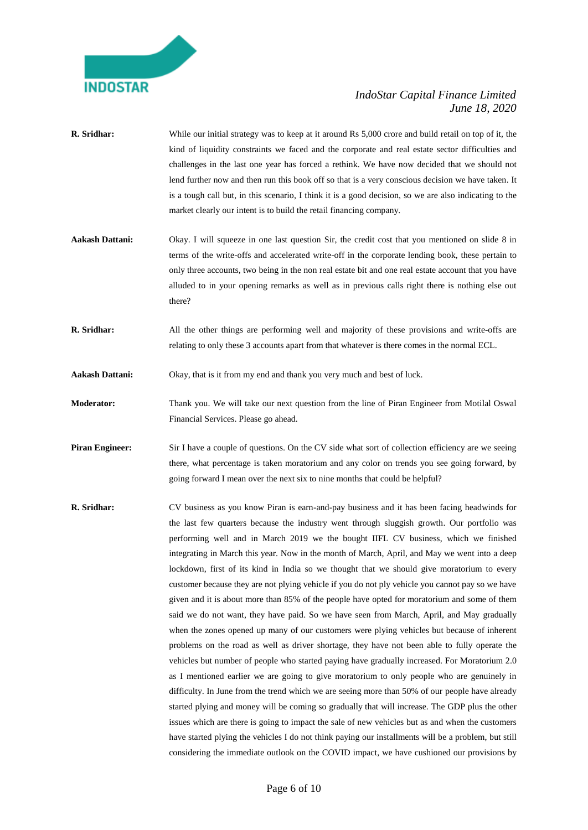

- **R. Sridhar:** While our initial strategy was to keep at it around Rs 5,000 crore and build retail on top of it, the kind of liquidity constraints we faced and the corporate and real estate sector difficulties and challenges in the last one year has forced a rethink. We have now decided that we should not lend further now and then run this book off so that is a very conscious decision we have taken. It is a tough call but, in this scenario, I think it is a good decision, so we are also indicating to the market clearly our intent is to build the retail financing company.
- **Aakash Dattani:** Okay. I will squeeze in one last question Sir, the credit cost that you mentioned on slide 8 in terms of the write-offs and accelerated write-off in the corporate lending book, these pertain to only three accounts, two being in the non real estate bit and one real estate account that you have alluded to in your opening remarks as well as in previous calls right there is nothing else out there?
- **R. Sridhar:** All the other things are performing well and majority of these provisions and write-offs are relating to only these 3 accounts apart from that whatever is there comes in the normal ECL.
- **Aakash Dattani:** Okay, that is it from my end and thank you very much and best of luck.
- **Moderator:** Thank you. We will take our next question from the line of Piran Engineer from Motilal Oswal Financial Services. Please go ahead.
- **Piran Engineer:** Sir I have a couple of questions. On the CV side what sort of collection efficiency are we seeing there, what percentage is taken moratorium and any color on trends you see going forward, by going forward I mean over the next six to nine months that could be helpful?
- **R. Sridhar:** CV business as you know Piran is earn-and-pay business and it has been facing headwinds for the last few quarters because the industry went through sluggish growth. Our portfolio was performing well and in March 2019 we the bought IIFL CV business, which we finished integrating in March this year. Now in the month of March, April, and May we went into a deep lockdown, first of its kind in India so we thought that we should give moratorium to every customer because they are not plying vehicle if you do not ply vehicle you cannot pay so we have given and it is about more than 85% of the people have opted for moratorium and some of them said we do not want, they have paid. So we have seen from March, April, and May gradually when the zones opened up many of our customers were plying vehicles but because of inherent problems on the road as well as driver shortage, they have not been able to fully operate the vehicles but number of people who started paying have gradually increased. For Moratorium 2.0 as I mentioned earlier we are going to give moratorium to only people who are genuinely in difficulty. In June from the trend which we are seeing more than 50% of our people have already started plying and money will be coming so gradually that will increase. The GDP plus the other issues which are there is going to impact the sale of new vehicles but as and when the customers have started plying the vehicles I do not think paying our installments will be a problem, but still considering the immediate outlook on the COVID impact, we have cushioned our provisions by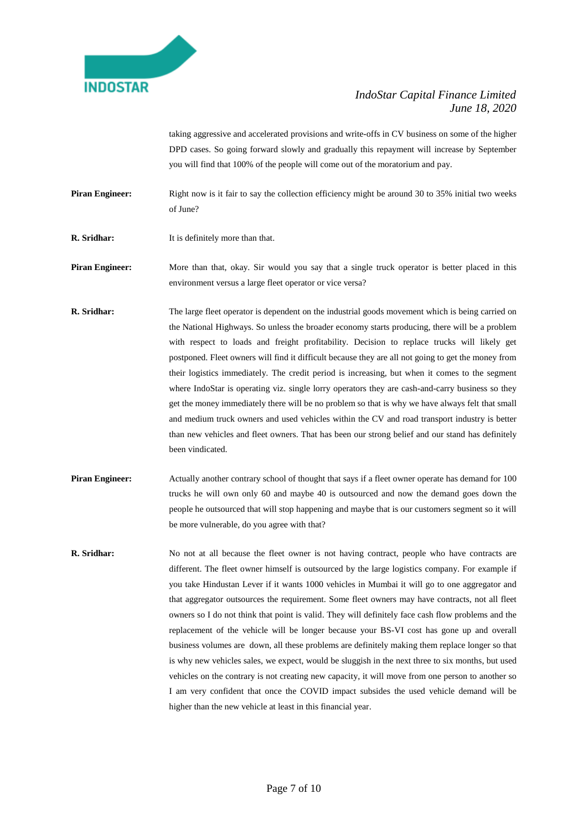

taking aggressive and accelerated provisions and write-offs in CV business on some of the higher DPD cases. So going forward slowly and gradually this repayment will increase by September you will find that 100% of the people will come out of the moratorium and pay.

**Piran Engineer:** Right now is it fair to say the collection efficiency might be around 30 to 35% initial two weeks of June?

**R. Sridhar:** It is definitely more than that.

**Piran Engineer:** More than that, okay. Sir would you say that a single truck operator is better placed in this environment versus a large fleet operator or vice versa?

- **R. Sridhar:** The large fleet operator is dependent on the industrial goods movement which is being carried on the National Highways. So unless the broader economy starts producing, there will be a problem with respect to loads and freight profitability. Decision to replace trucks will likely get postponed. Fleet owners will find it difficult because they are all not going to get the money from their logistics immediately. The credit period is increasing, but when it comes to the segment where IndoStar is operating viz. single lorry operators they are cash-and-carry business so they get the money immediately there will be no problem so that is why we have always felt that small and medium truck owners and used vehicles within the CV and road transport industry is better than new vehicles and fleet owners. That has been our strong belief and our stand has definitely been vindicated.
- **Piran Engineer:** Actually another contrary school of thought that says if a fleet owner operate has demand for 100 trucks he will own only 60 and maybe 40 is outsourced and now the demand goes down the people he outsourced that will stop happening and maybe that is our customers segment so it will be more vulnerable, do you agree with that?
- **R. Sridhar:** No not at all because the fleet owner is not having contract, people who have contracts are different. The fleet owner himself is outsourced by the large logistics company. For example if you take Hindustan Lever if it wants 1000 vehicles in Mumbai it will go to one aggregator and that aggregator outsources the requirement. Some fleet owners may have contracts, not all fleet owners so I do not think that point is valid. They will definitely face cash flow problems and the replacement of the vehicle will be longer because your BS-VI cost has gone up and overall business volumes are down, all these problems are definitely making them replace longer so that is why new vehicles sales, we expect, would be sluggish in the next three to six months, but used vehicles on the contrary is not creating new capacity, it will move from one person to another so I am very confident that once the COVID impact subsides the used vehicle demand will be higher than the new vehicle at least in this financial year.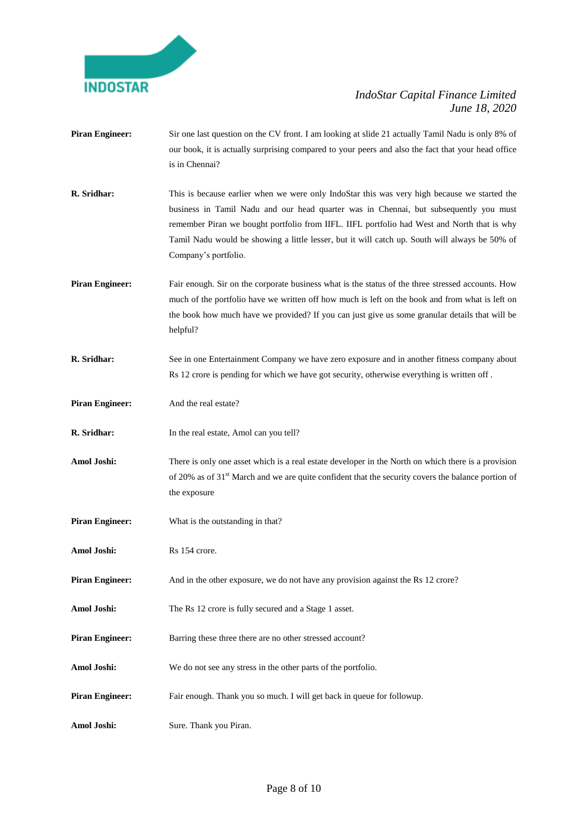

**Piran Engineer:** Sir one last question on the CV front. I am looking at slide 21 actually Tamil Nadu is only 8% of our book, it is actually surprising compared to your peers and also the fact that your head office is in Chennai? **R. Sridhar:** This is because earlier when we were only IndoStar this was very high because we started the business in Tamil Nadu and our head quarter was in Chennai, but subsequently you must remember Piran we bought portfolio from IIFL. IIFL portfolio had West and North that is why Tamil Nadu would be showing a little lesser, but it will catch up. South will always be 50% of Company's portfolio. **Piran Engineer:** Fair enough. Sir on the corporate business what is the status of the three stressed accounts. How much of the portfolio have we written off how much is left on the book and from what is left on the book how much have we provided? If you can just give us some granular details that will be helpful? **R. Sridhar:** See in one Entertainment Company we have zero exposure and in another fitness company about Rs 12 crore is pending for which we have got security, otherwise everything is written off . **Piran Engineer:** And the real estate? **R. Sridhar:** In the real estate, Amol can you tell? **Amol Joshi:** There is only one asset which is a real estate developer in the North on which there is a provision of 20% as of 31<sup>st</sup> March and we are quite confident that the security covers the balance portion of the exposure **Piran Engineer:** What is the outstanding in that? Amol Joshi: Rs 154 crore. **Piran Engineer:** And in the other exposure, we do not have any provision against the Rs 12 crore? **Amol Joshi:** The Rs 12 crore is fully secured and a Stage 1 asset. **Piran Engineer:** Barring these three there are no other stressed account? **Amol Joshi:** We do not see any stress in the other parts of the portfolio. **Piran Engineer:** Fair enough. Thank you so much. I will get back in queue for followup. **Amol Joshi:** Sure. Thank you Piran.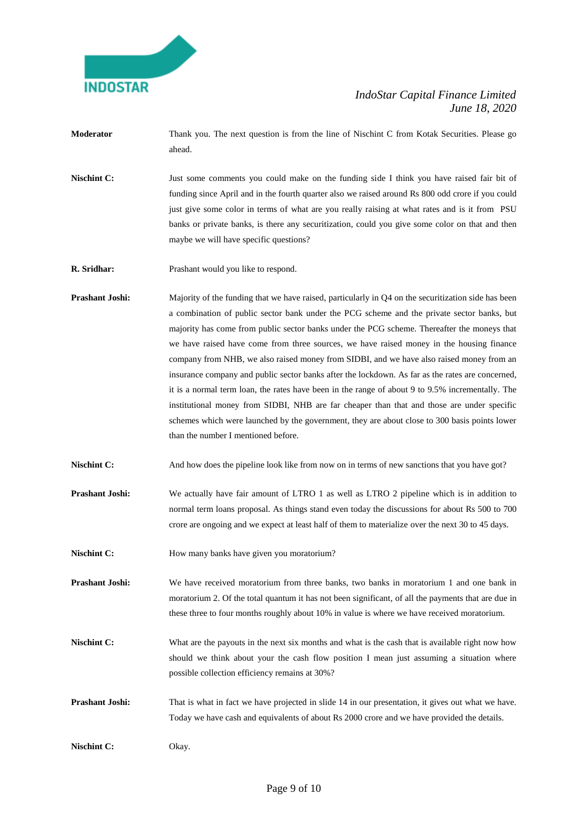

- **Moderator** Thank you. The next question is from the line of Nischint C from Kotak Securities. Please go ahead.
- **Nischint C:** Just some comments you could make on the funding side I think you have raised fair bit of funding since April and in the fourth quarter also we raised around Rs 800 odd crore if you could just give some color in terms of what are you really raising at what rates and is it from PSU banks or private banks, is there any securitization, could you give some color on that and then maybe we will have specific questions?
- **R. Sridhar:** Prashant would you like to respond.
- **Prashant Joshi:** Majority of the funding that we have raised, particularly in Q4 on the securitization side has been a combination of public sector bank under the PCG scheme and the private sector banks, but majority has come from public sector banks under the PCG scheme. Thereafter the moneys that we have raised have come from three sources, we have raised money in the housing finance company from NHB, we also raised money from SIDBI, and we have also raised money from an insurance company and public sector banks after the lockdown. As far as the rates are concerned, it is a normal term loan, the rates have been in the range of about 9 to 9.5% incrementally. The institutional money from SIDBI, NHB are far cheaper than that and those are under specific schemes which were launched by the government, they are about close to 300 basis points lower than the number I mentioned before.
- **Nischint C:** And how does the pipeline look like from now on in terms of new sanctions that you have got?
- **Prashant Joshi:** We actually have fair amount of LTRO 1 as well as LTRO 2 pipeline which is in addition to normal term loans proposal. As things stand even today the discussions for about Rs 500 to 700 crore are ongoing and we expect at least half of them to materialize over the next 30 to 45 days.
- **Nischint C:** How many banks have given you moratorium?

**Prashant Joshi:** We have received moratorium from three banks, two banks in moratorium 1 and one bank in moratorium 2. Of the total quantum it has not been significant, of all the payments that are due in these three to four months roughly about 10% in value is where we have received moratorium.

**Nischint C:** What are the payouts in the next six months and what is the cash that is available right now how should we think about your the cash flow position I mean just assuming a situation where possible collection efficiency remains at 30%?

**Prashant Joshi:** That is what in fact we have projected in slide 14 in our presentation, it gives out what we have. Today we have cash and equivalents of about Rs 2000 crore and we have provided the details.

**Nischint C:** Okay.